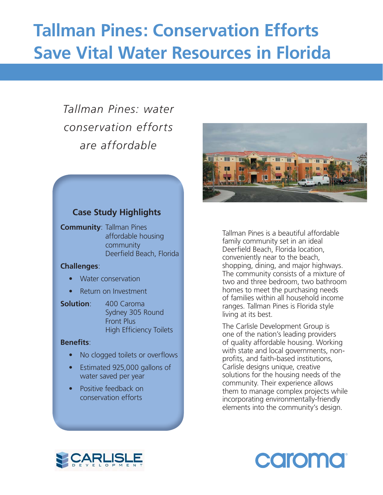# **Tallman Pines: Conservation Efforts Save Vital Water Resources in Florida**

# *Tallman Pines: water conservation efforts are affordable*

# **Case Study Highlights**

**Community**: Tallman Pines affordable housing community Deerfield Beach, Florida

#### **Challenges**:

- Water conservation
- Return on Investment
- 

**Solution**: 400 Caroma Sydney 305 Round Front Plus High Efficiency Toilets

#### **Benefits:**

- No clogged toilets or overflows
- Estimated 925,000 gallons of water saved per year
- Positive feedback on conservation efforts



Tallman Pines is a beautiful affordable family community set in an ideal Deerfield Beach, Florida location, conveniently near to the beach, shopping, dining, and major highways. The community consists of a mixture of two and three bedroom, two bathroom homes to meet the purchasing needs of families within all household income ranges. Tallman Pines is Florida style living at its best.

The Carlisle Development Group is one of the nation's leading providers of quality affordable housing. Working with state and local governments, nonprofits, and faith-based institutions, Carlisle designs unique, creative solutions for the housing needs of the community. Their experience allows them to manage complex projects while incorporating environmentally-friendly elements into the community's design.



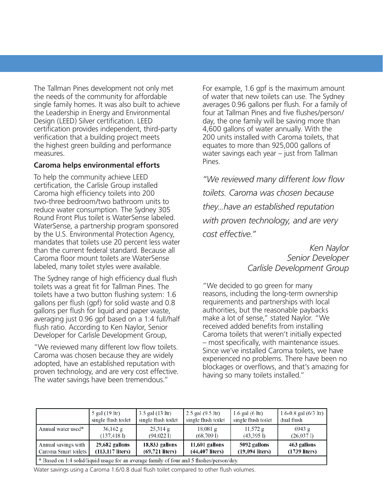The Tallman Pines development not only met the needs of the community for affordable single family homes. It was also built to achieve the Leadership in Energy and Environmental Design (LEED) Silver certification. LEED certification provides independent, third-party verification that a building project meets the highest green building and performance measures.

### **Caroma helps environmental efforts**

To help the community achieve LEED certification, the Carlisle Group installed Caroma high efficiency toilets into 200 two-three bedroom/two bathroom units to reduce water consumption. The Sydney 305 Round Front Plus toilet is WaterSense labeled. WaterSense, a partnership program sponsored by the U.S. Environmental Protection Agency, mandates that toilets use 20 percent less water than the current federal standard. Because all Caroma floor mount toilets are WaterSense labeled, many toilet styles were available.

The Sydney range of high efficiency dual flush toilets was a great fit for Tallman Pines. The toilets have a two button flushing system: 1.6 gallons per flush (gpf) for solid waste and 0.8 gallons per flush for liquid and paper waste, averaging just 0.96 gpf based on a 1:4 full/half flush ratio. According to Ken Naylor, Senior Developer for Carlisle Development Group,

"We reviewed many different low flow toilets. Caroma was chosen because they are widely adopted, have an established reputation with proven technology, and are very cost effective. The water savings have been tremendous."

For example, 1.6 gpf is the maximum amount of water that new toilets can use. The Sydney averages 0.96 gallons per flush. For a family of four at Tallman Pines and five flushes/person/ day, the one family will be saving more than 4,600 gallons of water annually. With the 200 units installed with Caroma toilets, that equates to more than 925,000 gallons of water savings each year – just from Tallman Pines.

*"We reviewed many different low fl ow toilets. Caroma was chosen because they...have an established reputation with proven technology, and are very cost effective."*

> *Ken Naylor Senior Developer Carlisle Development Group*

"We decided to go green for many reasons, including the long-term ownership requirements and partnerships with local authorities, but the reasonable paybacks make a lot of sense," stated Naylor. "We received added benefits from installing Caroma toilets that weren't initially expected – most specifically, with maintenance issues. Since we've installed Caroma toilets, we have experienced no problems. There have been no blockages or overflows, and that's amazing for having so many toilets installed."

|                                                                                           | 5 gal (19 ltr)      | $3.5$ gal $(13 \text{ ltr})$ | $2.5$ gal $(9.5)$ ltr) | $1.6$ gal $(6 \text{ ltr})$ | 1.6-0.8 gal $(6/3 \text{ ltr})$ |
|-------------------------------------------------------------------------------------------|---------------------|------------------------------|------------------------|-----------------------------|---------------------------------|
|                                                                                           | single flush toilet | single flush toilet          | single flush toilet    | single flush toilet         | dual flush                      |
| Annual water used*                                                                        | $36,162$ g          | $25,314$ g                   | $18,081$ g             | $11,572$ g                  | 6943g                           |
|                                                                                           | (137, 418)          | (94,0221)                    | (68,7091)              | (43,395)                    | (26,0371)                       |
| Annual savings with                                                                       | 29,682 gallons      | 18,833 gallons               | 11,601 gallons         | 5092 gallons                | 463 gallons                     |
| Caroma Smart toilets                                                                      | $(113, 117$ liters) | $(69,721$ liters)            | $(44, 407$ liters)     | $(19,094 \text{ liters})$   | $(1739$ liters)                 |
| * Based on 1:4 solid/liquid usage for an average family of four and 5 flushes/person/day. |                     |                              |                        |                             |                                 |

Water savings using a Caroma 1.6/0.8 dual flush toilet compared to other flush volumes.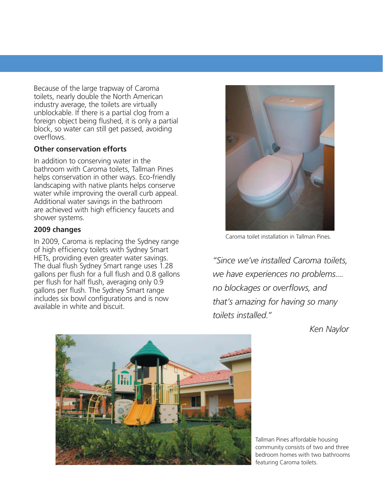Because of the large trapway of Caroma toilets, nearly double the North American industry average, the toilets are virtually unblockable. If there is a partial clog from a foreign object being flushed, it is only a partial block, so water can still get passed, avoiding overflows.

## **Other conservation efforts**

In addition to conserving water in the bathroom with Caroma toilets, Tallman Pines helps conservation in other ways. Eco-friendly landscaping with native plants helps conserve water while improving the overall curb appeal. Additional water savings in the bathroom are achieved with high efficiency faucets and shower systems.

### **2009 changes**

In 2009, Caroma is replacing the Sydney range of high efficiency toilets with Sydney Smart HETs, providing even greater water savings. The dual flush Sydney Smart range uses 1.28 gallons per flush for a full flush and 0.8 gallons per flush for half flush, averaging only 0.9 gallons per flush. The Sydney Smart range includes six bowl configurations and is now available in white and biscuit



Caroma toilet installation in Tallman Pines.

*"Since we've installed Caroma toilets, we have experiences no problems.... no blockages or overflows, and that's amazing for having so many toilets installed."*

*Ken Naylor*



Tallman Pines affordable housing community consists of two and three bedroom homes with two bathrooms featuring Caroma toilets.